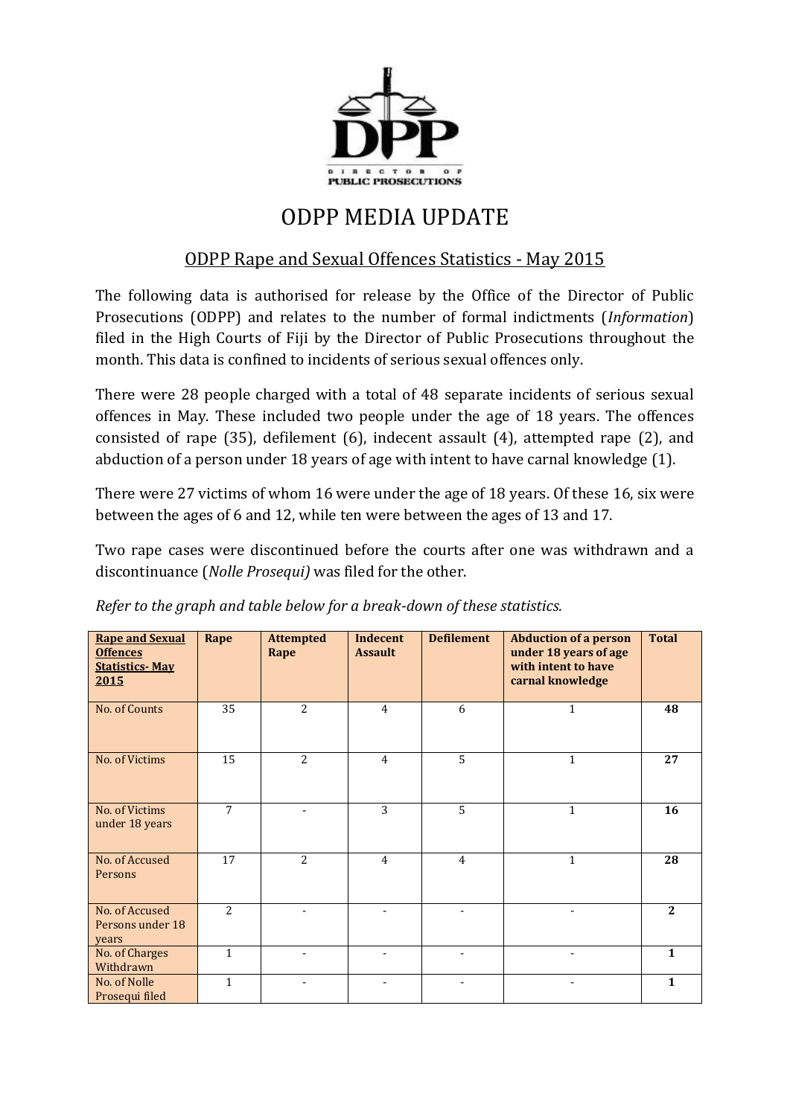

## ODPP MEDIA UPDATE

## ODPP Rape and Sexual Offences Statistics - May 2015

The following data is authorised for release by the Office of the Director of Public Prosecutions (ODPP) and relates to the number of formal indictments (*Information*) filed in the High Courts of Fiji by the Director of Public Prosecutions throughout the month. This data is confined to incidents of serious sexual offences only.

There were 28 people charged with a total of 48 separate incidents of serious sexual offences in May. These included two people under the age of 18 years. The offences consisted of rape (35), defilement (6), indecent assault (4), attempted rape (2), and abduction of a person under 18 years of age with intent to have carnal knowledge (1).

There were 27 victims of whom 16 were under the age of 18 years. Of these 16, six were between the ages of 6 and 12, while ten were between the ages of 13 and 17.

Two rape cases were discontinued before the courts after one was withdrawn and a discontinuance (*Nolle Prosequi)* was filed for the other.

| <b>Rape and Sexual</b><br><b>Offences</b><br><b>Statistics-May</b><br>2015 | Rape           | <b>Attempted</b><br>Rape | Indecent<br><b>Assault</b> | <b>Defilement</b>        | <b>Abduction of a person</b><br>under 18 years of age<br>with intent to have<br>carnal knowledge | <b>Total</b> |
|----------------------------------------------------------------------------|----------------|--------------------------|----------------------------|--------------------------|--------------------------------------------------------------------------------------------------|--------------|
| No. of Counts                                                              | 35             | 2                        | $\overline{4}$             | 6                        | $\mathbf{1}$                                                                                     | 48           |
| No. of Victims                                                             | 15             | $\overline{2}$           | $\overline{4}$             | 5                        | $\mathbf{1}$                                                                                     | 27           |
| No. of Victims<br>under 18 years                                           | $\overline{7}$ |                          | 3                          | 5                        | $\mathbf{1}$                                                                                     | 16           |
| No. of Accused<br>Persons                                                  | 17             | $\overline{2}$           | $\overline{4}$             | $\overline{4}$           | $\mathbf{1}$                                                                                     | 28           |
| No. of Accused<br>Persons under 18<br>years                                | $\overline{2}$ |                          |                            |                          |                                                                                                  | 2            |
| No. of Charges<br>Withdrawn                                                | $\mathbf{1}$   | ۰                        | ٠                          | ٠                        |                                                                                                  | $\mathbf{1}$ |
| No. of Nolle<br>Prosequi filed                                             | 1              | ٠                        |                            | $\overline{\phantom{a}}$ |                                                                                                  | $\mathbf{1}$ |

*Refer to the graph and table below for a break-down of these statistics.*